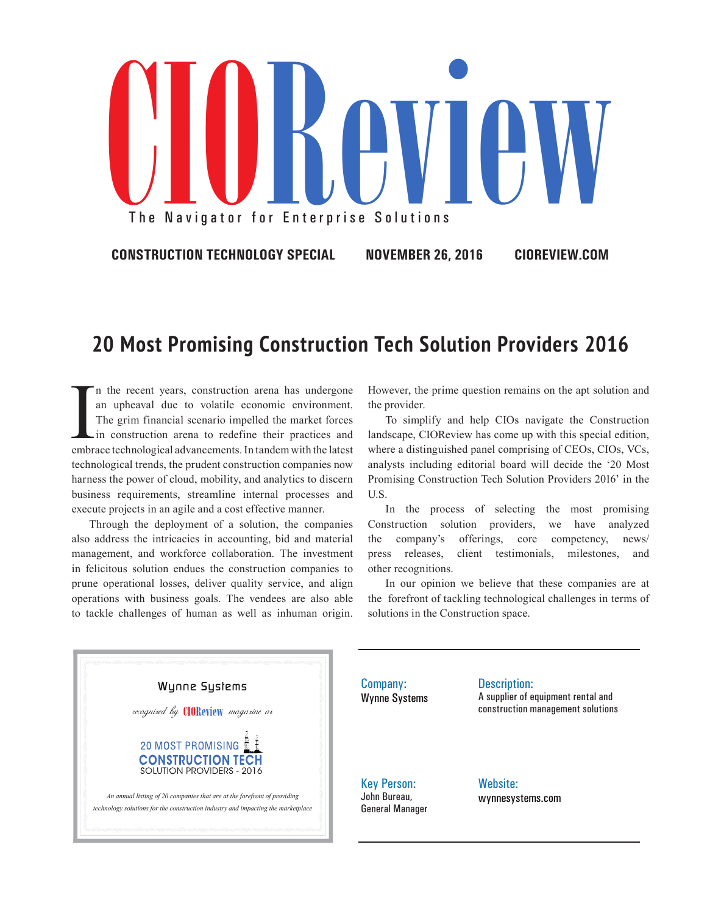

**CONSTRUCTION TECHNOLOGY SPECIAL NOVEMBER 26, 2016 CIOREVIEW.COM**

## **20 Most Promising Construction Tech Solution Providers 2016**

In the recent years, construction arena has undergone<br>an upheaval due to volatile economic environment.<br>The grim financial scenario impelled the market forces<br>in construction arena to redefine their practices and<br>embrace t n the recent years, construction arena has undergone an upheaval due to volatile economic environment. The grim financial scenario impelled the market forces in construction arena to redefine their practices and technological trends, the prudent construction companies now harness the power of cloud, mobility, and analytics to discern business requirements, streamline internal processes and execute projects in an agile and a cost effective manner.

Through the deployment of a solution, the companies also address the intricacies in accounting, bid and material management, and workforce collaboration. The investment in felicitous solution endues the construction companies to prune operational losses, deliver quality service, and align operations with business goals. The vendees are also able to tackle challenges of human as well as inhuman origin. However, the prime question remains on the apt solution and the provider.

To simplify and help CIOs navigate the Construction landscape, CIOReview has come up with this special edition, where a distinguished panel comprising of CEOs, CIOs, VCs, analysts including editorial board will decide the '20 Most Promising Construction Tech Solution Providers 2016' in the U.S.

In the process of selecting the most promising Construction solution providers, we have analyzed the company's offerings, core competency, news/ press releases, client testimonials, milestones, and other recognitions.

In our opinion we believe that these companies are at the forefront of tackling technological challenges in terms of solutions in the Construction space.



Company: Wynne Systems Description: A supplier of equipment rental and construction management solutions

Key Person: John Bureau, General Manager Website: wynnesystems.com